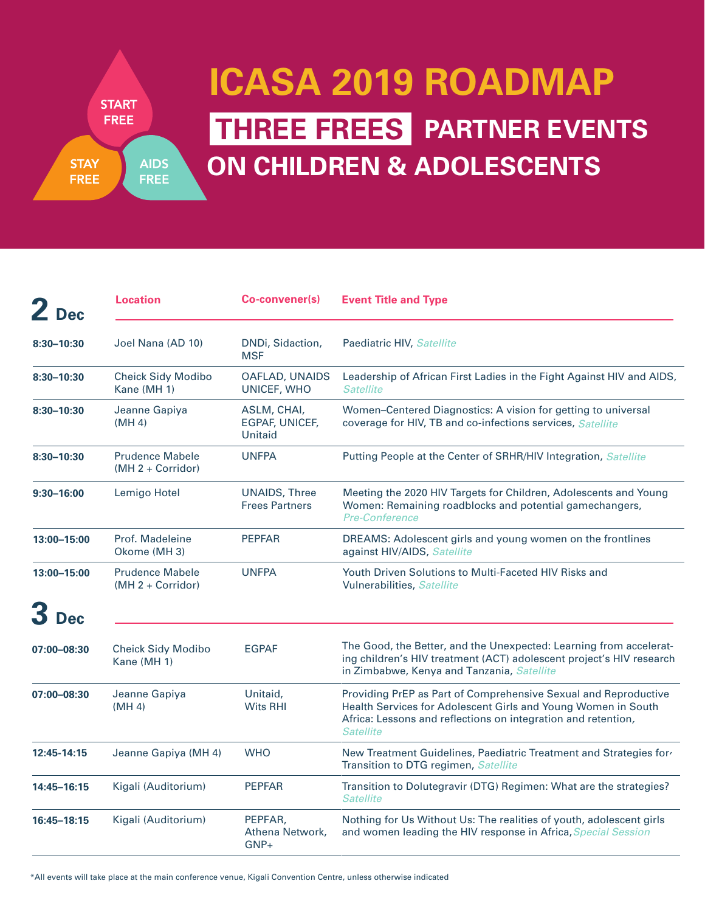**START FREE AIDS STAY FREE FREE** 

## **PARTNER EVENTS THREE FREES ON CHILDREN & ADOLESCENTS ICASA 2019 ROADMAP**

| 2 <sub>Dec</sub> | <b>Location</b>                               | Co-convener(s)                                | <b>Event Title and Type</b>                                                                                                                                                                                           |
|------------------|-----------------------------------------------|-----------------------------------------------|-----------------------------------------------------------------------------------------------------------------------------------------------------------------------------------------------------------------------|
| $8:30 - 10:30$   | Joel Nana (AD 10)                             | DNDi, Sidaction,<br><b>MSF</b>                | Paediatric HIV, Satellite                                                                                                                                                                                             |
| $8:30 - 10:30$   | <b>Cheick Sidy Modibo</b><br>Kane (MH 1)      | OAFLAD, UNAIDS<br>UNICEF, WHO                 | Leadership of African First Ladies in the Fight Against HIV and AIDS,<br><b>Satellite</b>                                                                                                                             |
| $8:30 - 10:30$   | Jeanne Gapiya<br>(MH 4)                       | ASLM, CHAI,<br>EGPAF, UNICEF,<br>Unitaid      | Women-Centered Diagnostics: A vision for getting to universal<br>coverage for HIV, TB and co-infections services, Satellite                                                                                           |
| $8:30 - 10:30$   | <b>Prudence Mabele</b><br>$(MH 2 + Corridor)$ | <b>UNFPA</b>                                  | Putting People at the Center of SRHR/HIV Integration, Satellite                                                                                                                                                       |
| $9:30 - 16:00$   | Lemigo Hotel                                  | <b>UNAIDS, Three</b><br><b>Frees Partners</b> | Meeting the 2020 HIV Targets for Children, Adolescents and Young<br>Women: Remaining roadblocks and potential gamechangers,<br><b>Pre-Conference</b>                                                                  |
| 13:00-15:00      | Prof. Madeleine<br>Okome (MH 3)               | <b>PEPFAR</b>                                 | DREAMS: Adolescent girls and young women on the frontlines<br>against HIV/AIDS, Satellite                                                                                                                             |
| 13:00-15:00      | <b>Prudence Mabele</b><br>$(MH 2 + Corridor)$ | <b>UNFPA</b>                                  | Youth Driven Solutions to Multi-Faceted HIV Risks and<br>Vulnerabilities, Satellite                                                                                                                                   |
| <b>Dec</b>       |                                               |                                               |                                                                                                                                                                                                                       |
| 07:00-08:30      | <b>Cheick Sidy Modibo</b><br>Kane (MH 1)      | <b>EGPAF</b>                                  | The Good, the Better, and the Unexpected: Learning from accelerat-<br>ing children's HIV treatment (ACT) adolescent project's HIV research<br>in Zimbabwe, Kenya and Tanzania, Satellite                              |
| 07:00-08:30      | Jeanne Gapiya<br>(MH 4)                       | Unitaid.<br><b>Wits RHI</b>                   | Providing PrEP as Part of Comprehensive Sexual and Reproductive<br>Health Services for Adolescent Girls and Young Women in South<br>Africa: Lessons and reflections on integration and retention,<br><b>Satellite</b> |
| 12:45-14:15      | Jeanne Gapiya (MH 4)                          | <b>WHO</b>                                    | New Treatment Guidelines, Paediatric Treatment and Strategies for<br>Transition to DTG regimen, Satellite                                                                                                             |
| 14:45-16:15      | Kigali (Auditorium)                           | <b>PEPFAR</b>                                 | Transition to Dolutegravir (DTG) Regimen: What are the strategies?<br><b>Satellite</b>                                                                                                                                |
| 16:45-18:15      | Kigali (Auditorium)                           | PEPFAR,<br>Athena Network,<br>$GNP+$          | Nothing for Us Without Us: The realities of youth, adolescent girls<br>and women leading the HIV response in Africa, Special Session                                                                                  |